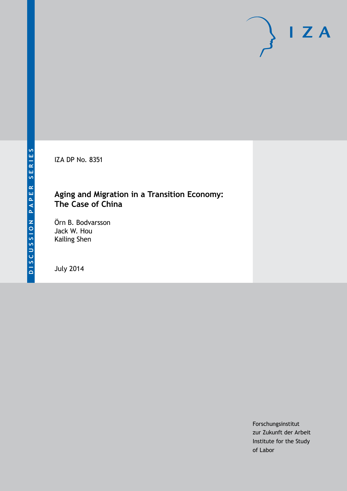IZA DP No. 8351

### **Aging and Migration in a Transition Economy: The Case of China**

Örn B. Bodvarsson Jack W. Hou Kailing Shen

July 2014

Forschungsinstitut zur Zukunft der Arbeit Institute for the Study of Labor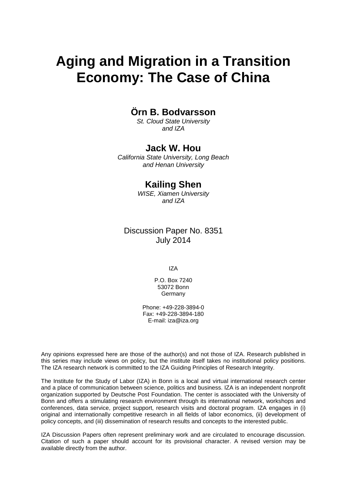# **Aging and Migration in a Transition Economy: The Case of China**

### **Örn B. Bodvarsson**

*St. Cloud State University and IZA*

### **Jack W. Hou**

*California State University, Long Beach and Henan University*

### **Kailing Shen**

*WISE, Xiamen University and IZA*

### Discussion Paper No. 8351 July 2014

IZA

P.O. Box 7240 53072 Bonn **Germany** 

Phone: +49-228-3894-0 Fax: +49-228-3894-180 E-mail: [iza@iza.org](mailto:iza@iza.org)

Any opinions expressed here are those of the author(s) and not those of IZA. Research published in this series may include views on policy, but the institute itself takes no institutional policy positions. The IZA research network is committed to the IZA Guiding Principles of Research Integrity.

The Institute for the Study of Labor (IZA) in Bonn is a local and virtual international research center and a place of communication between science, politics and business. IZA is an independent nonprofit organization supported by Deutsche Post Foundation. The center is associated with the University of Bonn and offers a stimulating research environment through its international network, workshops and conferences, data service, project support, research visits and doctoral program. IZA engages in (i) original and internationally competitive research in all fields of labor economics, (ii) development of policy concepts, and (iii) dissemination of research results and concepts to the interested public.

<span id="page-1-0"></span>IZA Discussion Papers often represent preliminary work and are circulated to encourage discussion. Citation of such a paper should account for its provisional character. A revised version may be available directly from the author.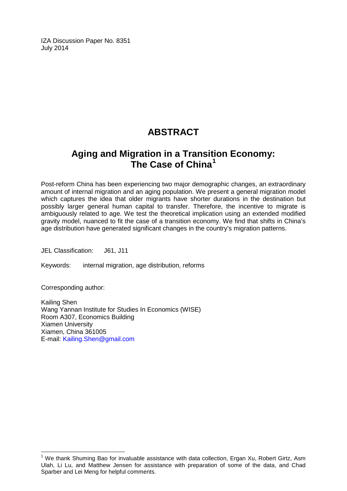IZA Discussion Paper No. 8351 July 2014

## **ABSTRACT**

### **Aging and Migration in a Transition Economy: The Case of China[1](#page-1-0)**

Post-reform China has been experiencing two major demographic changes, an extraordinary amount of internal migration and an aging population. We present a general migration model which captures the idea that older migrants have shorter durations in the destination but possibly larger general human capital to transfer. Therefore, the incentive to migrate is ambiguously related to age. We test the theoretical implication using an extended modified gravity model, nuanced to fit the case of a transition economy. We find that shifts in China's age distribution have generated significant changes in the country's migration patterns.

JEL Classification: J61, J11

Keywords: internal migration, age distribution, reforms

Corresponding author:

Kailing Shen Wang Yannan Institute for Studies In Economics (WISE) Room A307, Economics Building Xiamen University Xiamen, China 361005 E-mail: [Kailing.Shen@gmail.com](mailto:Kailing.Shen@gmail.com)

 $<sup>1</sup>$  We thank Shuming Bao for invaluable assistance with data collection, Ergan Xu, Robert Girtz, Asm</sup> Ulah, Li Lu, and Matthew Jensen for assistance with preparation of some of the data, and Chad Sparber and Lei Meng for helpful comments.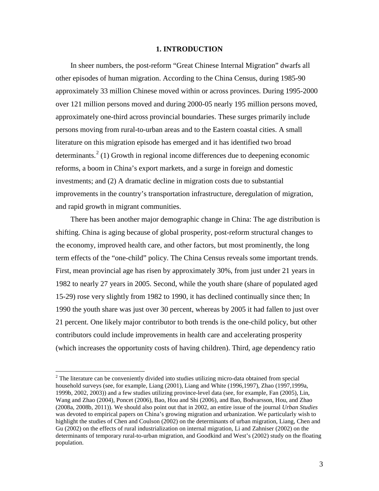#### **1. INTRODUCTION**

In sheer numbers, the post-reform "Great Chinese Internal Migration" dwarfs all other episodes of human migration. According to the China Census, during 1985-90 approximately 33 million Chinese moved within or across provinces. During 1995-2000 over 121 million persons moved and during 2000-05 nearly 195 million persons moved, approximately one-third across provincial boundaries. These surges primarily include persons moving from rural-to-urban areas and to the Eastern coastal cities. A small literature on this migration episode has emerged and it has identified two broad determinants.<sup>2</sup> (1) Growth in regional income differences due to deepening economic reforms, a boom in China's export markets, and a surge in foreign and domestic investments; and (2) A dramatic decline in migration costs due to substantial improvements in the country's transportation infrastructure, deregulation of migration, and rapid growth in migrant communities.

There has been another major demographic change in China: The age distribution is shifting. China is aging because of global prosperity, post-reform structural changes to the economy, improved health care, and other factors, but most prominently, the long term effects of the "one-child" policy. The China Census reveals some important trends. First, mean provincial age has risen by approximately 30%, from just under 21 years in 1982 to nearly 27 years in 2005. Second, while the youth share (share of populated aged 15-29) rose very slightly from 1982 to 1990, it has declined continually since then; In 1990 the youth share was just over 30 percent, whereas by 2005 it had fallen to just over 21 percent. One likely major contributor to both trends is the one-child policy, but other contributors could include improvements in health care and accelerating prosperity (which increases the opportunity costs of having children). Third, age dependency ratio

<span id="page-3-0"></span> $2<sup>2</sup>$  The literature can be conveniently divided into studies utilizing micro-data obtained from special household surveys (see, for example, Liang (2001), Liang and White (1996,1997), Zhao (1997,1999a, 1999b, 2002, 2003)) and a few studies utilizing province-level data (see, for example, Fan (2005), Lin, Wang and Zhao (2004), Poncet (2006), Bao, Hou and Shi (2006), and Bao, Bodvarsson, Hou, and Zhao (2008a, 2008b, 2011)). We should also point out that in 2002, an entire issue of the journal *Urban Studies* was devoted to empirical papers on China's growing migration and urbanization. We particularly wish to highlight the studies of Chen and Coulson (2002) on the determinants of urban migration, Liang, Chen and Gu (2002) on the effects of rural industrialization on internal migration, Li and Zahniser (2002) on the determinants of temporary rural-to-urban migration, and Goodkind and West's (2002) study on the floating population.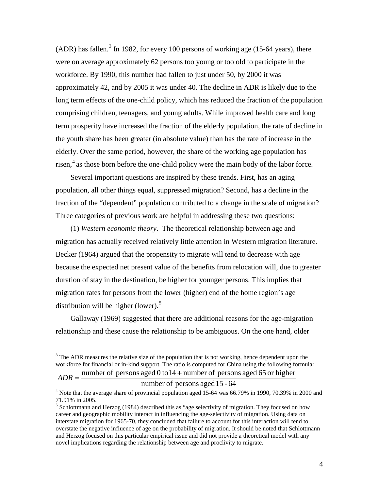(ADR) has fallen.<sup>[3](#page-3-0)</sup> In 1982, for every 100 persons of working age (15-64 years), there were on average approximately 62 persons too young or too old to participate in the workforce. By 1990, this number had fallen to just under 50, by 2000 it was approximately 42, and by 2005 it was under 40. The decline in ADR is likely due to the long term effects of the one-child policy, which has reduced the fraction of the population comprising children, teenagers, and young adults. While improved health care and long term prosperity have increased the fraction of the elderly population, the rate of decline in the youth share has been greater (in absolute value) than has the rate of increase in the elderly. Over the same period, however, the share of the working age population has risen, [4](#page-4-0) as those born before the one-child policy were the main body of the labor force.

Several important questions are inspired by these trends. First, has an aging population, all other things equal, suppressed migration? Second, has a decline in the fraction of the "dependent" population contributed to a change in the scale of migration? Three categories of previous work are helpful in addressing these two questions:

(1) *Western economic theory*. The theoretical relationship between age and migration has actually received relatively little attention in Western migration literature. Becker (1964) argued that the propensity to migrate will tend to decrease with age because the expected net present value of the benefits from relocation will, due to greater duration of stay in the destination, be higher for younger persons. This implies that migration rates for persons from the lower (higher) end of the home region's age distribution will be higher (lower).<sup>[5](#page-4-1)</sup>

Gallaway (1969) suggested that there are additional reasons for the age-migration relationship and these cause the relationship to be ambiguous. On the one hand, older

#### number of persons aged15 - 64

 $3$  The ADR measures the relative size of the population that is not working, hence dependent upon the workforce for financial or in-kind support. The ratio is computed for China using the following formula:  $ADR =$  number of persons aged 0 to 14 + number of persons aged 65 or higher

<span id="page-4-0"></span> $4$  Note that the average share of provincial population aged 15-64 was 66.79% in 1990, 70.39% in 2000 and 71.91% in 2005.

<span id="page-4-1"></span><sup>&</sup>lt;sup>5</sup> Schlottmann and Herzog (1984) described this as "age selectivity of migration. They focused on how career and geographic mobility interact in influencing the age-selectivity of migration. Using data on interstate migration for 1965-70, they concluded that failure to account for this interaction will tend to overstate the negative influence of age on the probability of migration. It should be noted that Schlottmann and Herzog focused on this particular empirical issue and did not provide a theoretical model with any novel implications regarding the relationship between age and proclivity to migrate.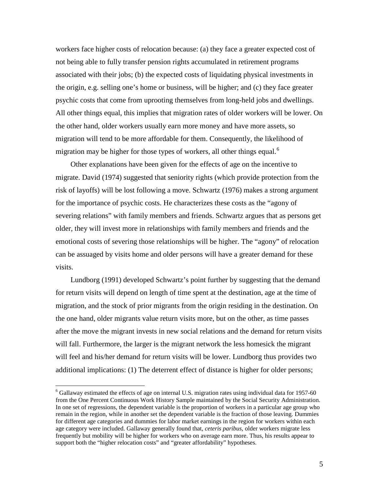workers face higher costs of relocation because: (a) they face a greater expected cost of not being able to fully transfer pension rights accumulated in retirement programs associated with their jobs; (b) the expected costs of liquidating physical investments in the origin, e.g. selling one's home or business, will be higher; and (c) they face greater psychic costs that come from uprooting themselves from long-held jobs and dwellings. All other things equal, this implies that migration rates of older workers will be lower. On the other hand, older workers usually earn more money and have more assets, so migration will tend to be more affordable for them. Consequently, the likelihood of migration may be higher for those types of workers, all other things equal.<sup>[6](#page-4-0)</sup>

Other explanations have been given for the effects of age on the incentive to migrate. David (1974) suggested that seniority rights (which provide protection from the risk of layoffs) will be lost following a move. Schwartz (1976) makes a strong argument for the importance of psychic costs. He characterizes these costs as the "agony of severing relations" with family members and friends. Schwartz argues that as persons get older, they will invest more in relationships with family members and friends and the emotional costs of severing those relationships will be higher. The "agony" of relocation can be assuaged by visits home and older persons will have a greater demand for these visits.

<span id="page-5-0"></span>Lundborg (1991) developed Schwartz's point further by suggesting that the demand for return visits will depend on length of time spent at the destination, age at the time of migration, and the stock of prior migrants from the origin residing in the destination. On the one hand, older migrants value return visits more, but on the other, as time passes after the move the migrant invests in new social relations and the demand for return visits will fall. Furthermore, the larger is the migrant network the less homesick the migrant will feel and his/her demand for return visits will be lower. Lundborg thus provides two additional implications: (1) The deterrent effect of distance is higher for older persons;

 $6$  Gallaway estimated the effects of age on internal U.S. migration rates using individual data for 1957-60 from the One Percent Continuous Work History Sample maintained by the Social Security Administration. In one set of regressions, the dependent variable is the proportion of workers in a particular age group who remain in the region, while in another set the dependent variable is the fraction of those leaving. Dummies for different age categories and dummies for labor market earnings in the region for workers within each age category were included. Gallaway generally found that, *ceteris paribus*, older workers migrate less frequently but mobility will be higher for workers who on average earn more. Thus, his results appear to support both the "higher relocation costs" and "greater affordability" hypotheses.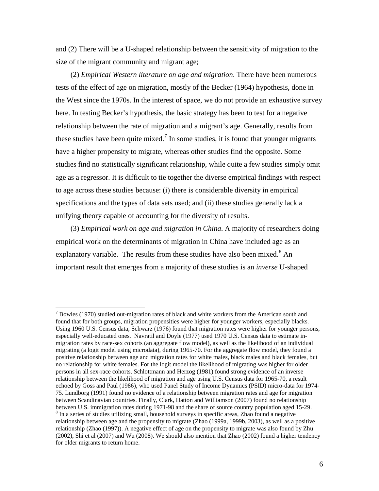and (2) There will be a U-shaped relationship between the sensitivity of migration to the size of the migrant community and migrant age;

(2) *Empirical Western literature on age and migration*. There have been numerous tests of the effect of age on migration, mostly of the Becker (1964) hypothesis, done in the West since the 1970s. In the interest of space, we do not provide an exhaustive survey here. In testing Becker's hypothesis, the basic strategy has been to test for a negative relationship between the rate of migration and a migrant's age. Generally, results from these studies have been quite mixed.<sup>[7](#page-5-0)</sup> In some studies, it is found that younger migrants have a higher propensity to migrate, whereas other studies find the opposite. Some studies find no statistically significant relationship, while quite a few studies simply omit age as a regressor. It is difficult to tie together the diverse empirical findings with respect to age across these studies because: (i) there is considerable diversity in empirical specifications and the types of data sets used; and (ii) these studies generally lack a unifying theory capable of accounting for the diversity of results.

(3) *Empirical work on age and migration in China*. A majority of researchers doing empirical work on the determinants of migration in China have included age as an explanatory variable. The results from these studies have also been mixed.<sup>[8](#page-6-0)</sup> An important result that emerges from a majority of these studies is an *inverse* U-shaped

<span id="page-6-1"></span><span id="page-6-0"></span> $<sup>7</sup>$  Bowles (1970) studied out-migration rates of black and white workers from the American south and</sup> found that for both groups, migration propensities were higher for younger workers, especially blacks. Using 1960 U.S. Census data, Schwarz (1976) found that migration rates were higher for younger persons, especially well-educated ones. Navratil and Doyle (1977) used 1970 U.S. Census data to estimate inmigration rates by race-sex cohorts (an aggregate flow model), as well as the likelihood of an individual migrating (a logit model using microdata), during 1965-70. For the aggregate flow model, they found a positive relationship between age and migration rates for white males, black males and black females, but no relationship for white females. For the logit model the likelihood of migrating was higher for older persons in all sex-race cohorts. Schlottmann and Herzog (1981) found strong evidence of an inverse relationship between the likelihood of migration and age using U.S. Census data for 1965-70, a result echoed by Goss and Paul (1986), who used Panel Study of Income Dynamics (PSID) micro-data for 1974- 75. Lundborg (1991) found no evidence of a relationship between migration rates and age for migration between Scandinavian countries. Finally, Clark, Hatton and Williamson (2007) found no relationship between U.S. immigration rates during 1971-98 and the share of source country population aged 15-29.<br><sup>8</sup> In a series of studies utilizing small, household surveys in specific areas, Zhao found a negative relationship between age and the propensity to migrate (Zhao (1999a, 1999b, 2003), as well as a positive relationship (Zhao (1997)). A negative effect of age on the propensity to migrate was also found by Zhu (2002), Shi et al (2007) and Wu (2008). We should also mention that Zhao (2002) found a higher tendency for older migrants to return home.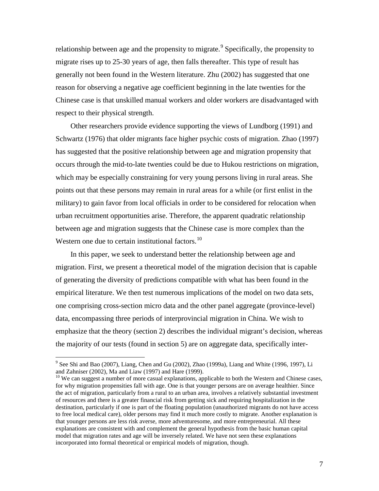relationship between age and the propensity to migrate.<sup>[9](#page-6-1)</sup> Specifically, the propensity to migrate rises up to 25-30 years of age, then falls thereafter. This type of result has generally not been found in the Western literature. Zhu (2002) has suggested that one reason for observing a negative age coefficient beginning in the late twenties for the Chinese case is that unskilled manual workers and older workers are disadvantaged with respect to their physical strength.

Other researchers provide evidence supporting the views of Lundborg (1991) and Schwartz (1976) that older migrants face higher psychic costs of migration. Zhao (1997) has suggested that the positive relationship between age and migration propensity that occurs through the mid-to-late twenties could be due to Hukou restrictions on migration, which may be especially constraining for very young persons living in rural areas. She points out that these persons may remain in rural areas for a while (or first enlist in the military) to gain favor from local officials in order to be considered for relocation when urban recruitment opportunities arise. Therefore, the apparent quadratic relationship between age and migration suggests that the Chinese case is more complex than the Western one due to certain institutional factors.<sup>[10](#page-7-0)</sup>

In this paper, we seek to understand better the relationship between age and migration. First, we present a theoretical model of the migration decision that is capable of generating the diversity of predictions compatible with what has been found in the empirical literature. We then test numerous implications of the model on two data sets, one comprising cross-section micro data and the other panel aggregate (province-level) data, encompassing three periods of interprovincial migration in China. We wish to emphasize that the theory (section 2) describes the individual migrant's decision, whereas the majority of our tests (found in section 5) are on aggregate data, specifically inter-

 $9^9$  See Shi and Bao (2007), Liang, Chen and Gu (2002), Zhao (1999a), Liang and White (1996, 1997), Li and Zahniser (2002), Ma and Liaw (1997) and Hare (1999).

<span id="page-7-1"></span><span id="page-7-0"></span> $10$  We can suggest a number of more casual explanations, applicable to both the Western and Chinese cases, for why migration propensities fall with age. One is that younger persons are on average healthier. Since the act of migration, particularly from a rural to an urban area, involves a relatively substantial investment of resources and there is a greater financial risk from getting sick and requiring hospitalization in the destination, particularly if one is part of the floating population (unauthorized migrants do not have access to free local medical care), older persons may find it much more costly to migrate. Another explanation is that younger persons are less risk averse, more adventuresome, and more entrepreneurial. All these explanations are consistent with and complement the general hypothesis from the basic human capital model that migration rates and age will be inversely related. We have not seen these explanations incorporated into formal theoretical or empirical models of migration, though.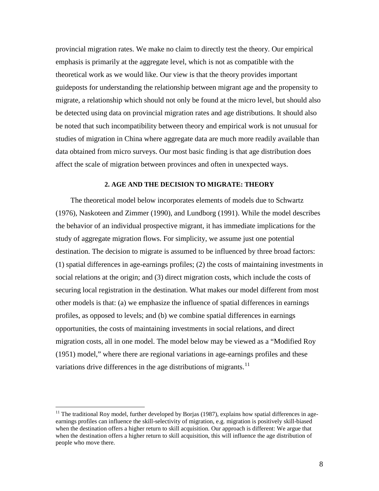provincial migration rates. We make no claim to directly test the theory. Our empirical emphasis is primarily at the aggregate level, which is not as compatible with the theoretical work as we would like. Our view is that the theory provides important guideposts for understanding the relationship between migrant age and the propensity to migrate, a relationship which should not only be found at the micro level, but should also be detected using data on provincial migration rates and age distributions. It should also be noted that such incompatibility between theory and empirical work is not unusual for studies of migration in China where aggregate data are much more readily available than data obtained from micro surveys. Our most basic finding is that age distribution does affect the scale of migration between provinces and often in unexpected ways.

#### **2. AGE AND THE DECISION TO MIGRATE: THEORY**

The theoretical model below incorporates elements of models due to Schwartz (1976), Naskoteen and Zimmer (1990), and Lundborg (1991). While the model describes the behavior of an individual prospective migrant, it has immediate implications for the study of aggregate migration flows. For simplicity, we assume just one potential destination. The decision to migrate is assumed to be influenced by three broad factors: (1) spatial differences in age-earnings profiles; (2) the costs of maintaining investments in social relations at the origin; and (3) direct migration costs, which include the costs of securing local registration in the destination. What makes our model different from most other models is that: (a) we emphasize the influence of spatial differences in earnings profiles, as opposed to levels; and (b) we combine spatial differences in earnings opportunities, the costs of maintaining investments in social relations, and direct migration costs, all in one model. The model below may be viewed as a "Modified Roy (1951) model," where there are regional variations in age-earnings profiles and these variations drive differences in the age distributions of migrants.<sup>[11](#page-7-1)</sup>

<span id="page-8-0"></span> $11$  The traditional Roy model, further developed by Borjas (1987), explains how spatial differences in ageearnings profiles can influence the skill-selectivity of migration, e.g. migration is positively skill-biased when the destination offers a higher return to skill acquisition. Our approach is different: We argue that when the destination offers a higher return to skill acquisition, this will influence the age distribution of people who move there.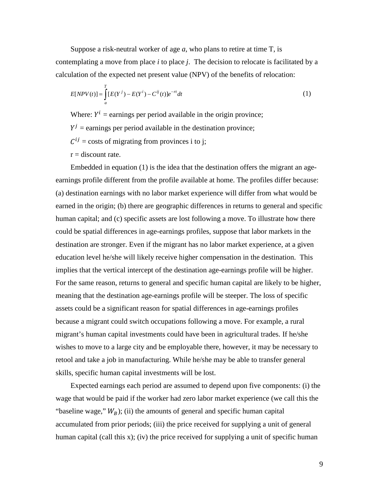Suppose a risk-neutral worker of age *a*, who plans to retire at time T, is contemplating a move from place *i* to place *j*. The decision to relocate is facilitated by a calculation of the expected net present value (NPV) of the benefits of relocation:

$$
E[NPV(t)] = \int_{a}^{T} [E(Y^{j}) - E(Y^{i}) - C^{ij}(t)]e^{-rt}dt
$$
\n(1)

Where:  $Y^i$  = earnings per period available in the origin province;

 $Y^{j}$  = earnings per period available in the destination province;

 $C^{ij}$  = costs of migrating from provinces i to j;

 $r =$  discount rate.

Embedded in equation (1) is the idea that the destination offers the migrant an ageearnings profile different from the profile available at home. The profiles differ because: (a) destination earnings with no labor market experience will differ from what would be earned in the origin; (b) there are geographic differences in returns to general and specific human capital; and (c) specific assets are lost following a move. To illustrate how there could be spatial differences in age-earnings profiles, suppose that labor markets in the destination are stronger. Even if the migrant has no labor market experience, at a given education level he/she will likely receive higher compensation in the destination. This implies that the vertical intercept of the destination age-earnings profile will be higher. For the same reason, returns to general and specific human capital are likely to be higher, meaning that the destination age-earnings profile will be steeper. The loss of specific assets could be a significant reason for spatial differences in age-earnings profiles because a migrant could switch occupations following a move. For example, a rural migrant's human capital investments could have been in agricultural trades. If he/she wishes to move to a large city and be employable there, however, it may be necessary to retool and take a job in manufacturing. While he/she may be able to transfer general skills, specific human capital investments will be lost.

Expected earnings each period are assumed to depend upon five components: (i) the wage that would be paid if the worker had zero labor market experience (we call this the "baseline wage,"  $W_B$ ); (ii) the amounts of general and specific human capital accumulated from prior periods; (iii) the price received for supplying a unit of general human capital (call this x); (iv) the price received for supplying a unit of specific human

9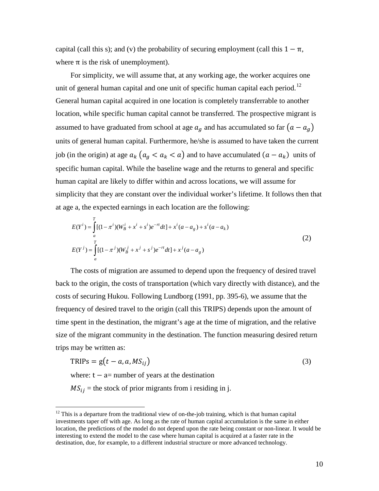capital (call this s); and (v) the probability of securing employment (call this  $1 - π$ , where  $\pi$  is the risk of unemployment).

For simplicity, we will assume that, at any working age, the worker acquires one unit of general human capital and one unit of specific human capital each period.<sup>[12](#page-8-0)</sup> General human capital acquired in one location is completely transferrable to another location, while specific human capital cannot be transferred. The prospective migrant is assumed to have graduated from school at age  $a_g$  and has accumulated so far  $(a - a_g)$ units of general human capital. Furthermore, he/she is assumed to have taken the current job (in the origin) at age  $a_k$   $(a_a < a_k < a)$  and to have accumulated  $(a - a_k)$  units of specific human capital. While the baseline wage and the returns to general and specific human capital are likely to differ within and across locations, we will assume for simplicity that they are constant over the individual worker's lifetime. It follows then that at age a, the expected earnings in each location are the following:

$$
E(Y^{i}) = \int_{a}^{T} [(1 - \pi^{i})(W_{B}^{i} + x^{i} + s^{i})e^{-rt}dt] + x^{i}(a - a_{g}) + s^{i}(a - a_{k})
$$
  
\n
$$
E(Y^{j}) = \int_{a}^{T} [(1 - \pi^{j})(W_{B}^{j} + x^{j} + s^{j})e^{-rt}dt] + x^{j}(a - a_{g})
$$
\n(2)

The costs of migration are assumed to depend upon the frequency of desired travel back to the origin, the costs of transportation (which vary directly with distance), and the costs of securing Hukou. Following Lundborg (1991, pp. 395-6), we assume that the frequency of desired travel to the origin (call this TRIPS) depends upon the amount of time spent in the destination, the migrant's age at the time of migration, and the relative size of the migrant community in the destination. The function measuring desired return trips may be written as:

<span id="page-10-0"></span>
$$
TRIPS = g(t - a, a, MS_{ij})
$$
\n(3)

where:  $t - a$ = number of years at the destination

 $MS_{ij}$  = the stock of prior migrants from i residing in j.

 $12$  This is a departure from the traditional view of on-the-job training, which is that human capital investments taper off with age. As long as the rate of human capital accumulation is the same in either location, the predictions of the model do not depend upon the rate being constant or non-linear. It would be interesting to extend the model to the case where human capital is acquired at a faster rate in the destination, due, for example, to a different industrial structure or more advanced technology.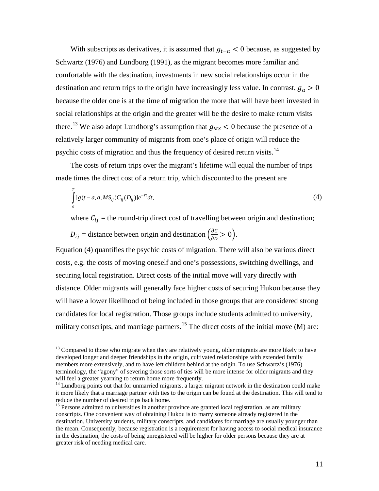With subscripts as derivatives, it is assumed that  $g_{t-a} < 0$  because, as suggested by Schwartz (1976) and Lundborg (1991), as the migrant becomes more familiar and comfortable with the destination, investments in new social relationships occur in the destination and return trips to the origin have increasingly less value. In contrast,  $g_a > 0$ because the older one is at the time of migration the more that will have been invested in social relationships at the origin and the greater will be the desire to make return visits there.<sup>[13](#page-10-0)</sup> We also adopt Lundborg's assumption that  $g_{MS} < 0$  because the presence of a relatively larger community of migrants from one's place of origin will reduce the psychic costs of migration and thus the frequency of desired return visits.<sup>[14](#page-11-0)</sup>

The costs of return trips over the migrant's lifetime will equal the number of trips made times the direct cost of a return trip, which discounted to the present are

$$
\int_{a}^{T} [g(t-a,a,MS_{ij})C_{ij}(D_{ij})]e^{-rt}dt,
$$
\n(4)

where  $C_{ij}$  = the round-trip direct cost of travelling between origin and destination;

 $D_{ij}$  = distance between origin and destination  $\left(\frac{\partial C}{\partial D} > 0\right)$ .

Equation (4) quantifies the psychic costs of migration. There will also be various direct costs, e.g. the costs of moving oneself and one's possessions, switching dwellings, and securing local registration. Direct costs of the initial move will vary directly with distance. Older migrants will generally face higher costs of securing Hukou because they will have a lower likelihood of being included in those groups that are considered strong candidates for local registration. Those groups include students admitted to university, military conscripts, and marriage partners.<sup>[15](#page-11-1)</sup> The direct costs of the initial move (M) are:

<sup>&</sup>lt;sup>13</sup> Compared to those who migrate when they are relatively young, older migrants are more likely to have developed longer and deeper friendships in the origin, cultivated relationships with extended family members more extensively, and to have left children behind at the origin. To use Schwartz's (1976) terminology, the "agony" of severing those sorts of ties will be more intense for older migrants and they

<span id="page-11-0"></span> $14$  Lundborg points out that for unmarried migrants, a larger migrant network in the destination could make it more likely that a marriage partner with ties to the origin can be found at the destination. This will tend to reduce the number of desired trips back home.

<span id="page-11-2"></span><span id="page-11-1"></span><sup>&</sup>lt;sup>15</sup> Persons admitted to universities in another province are granted local registration, as are military conscripts. One convenient way of obtaining Hukou is to marry someone already registered in the destination. University students, military conscripts, and candidates for marriage are usually younger than the mean. Consequently, because registration is a requirement for having access to social medical insurance in the destination, the costs of being unregistered will be higher for older persons because they are at greater risk of needing medical care.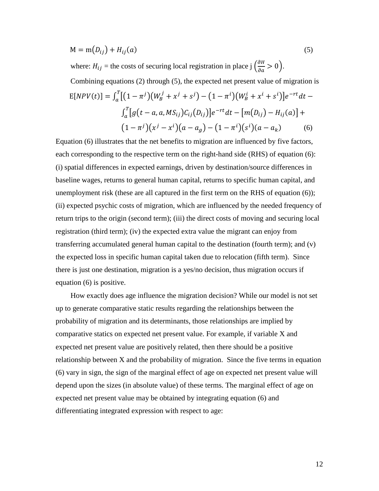$$
M = m(D_{ij}) + H_{ij}(a)
$$
\n<sup>(5)</sup>

where:  $H_{ij}$  = the costs of securing local registration in place  $j \left( \frac{\partial H}{\partial a} > 0 \right)$ .

Combining equations (2) through (5), the expected net present value of migration is  
\n
$$
E[NPV(t)] = \int_a^T \left[ (1 - \pi^j)(W_B^j + x^j + s^j) - (1 - \pi^i)(W_B^i + x^i + s^i) \right] e^{-rt} dt - \int_a^T \left[ g(t - a, a, MS_{ij}) C_{ij}(D_{ij}) \right] e^{-rt} dt - \left[ m(D_{ij}) - H_{ij}(a) \right] + \left( (1 - \pi^j)(x^j - x^i)(a - a_g) - (1 - \pi^i)(s^i)(a - a_k) \right)
$$
\n(6)

Equation (6) illustrates that the net benefits to migration are influenced by five factors, each corresponding to the respective term on the right-hand side (RHS) of equation (6): (i) spatial differences in expected earnings, driven by destination/source differences in baseline wages, returns to general human capital, returns to specific human capital, and unemployment risk (these are all captured in the first term on the RHS of equation (6)); (ii) expected psychic costs of migration, which are influenced by the needed frequency of return trips to the origin (second term); (iii) the direct costs of moving and securing local registration (third term); (iv) the expected extra value the migrant can enjoy from transferring accumulated general human capital to the destination (fourth term); and (v) the expected loss in specific human capital taken due to relocation (fifth term). Since there is just one destination, migration is a yes/no decision, thus migration occurs if equation (6) is positive.

How exactly does age influence the migration decision? While our model is not set up to generate comparative static results regarding the relationships between the probability of migration and its determinants, those relationships are implied by comparative statics on expected net present value. For example, if variable X and expected net present value are positively related, then there should be a positive relationship between X and the probability of migration. Since the five terms in equation (6) vary in sign, the sign of the marginal effect of age on expected net present value will depend upon the sizes (in absolute value) of these terms. The marginal effect of age on expected net present value may be obtained by integrating equation (6) and differentiating integrated expression with respect to age: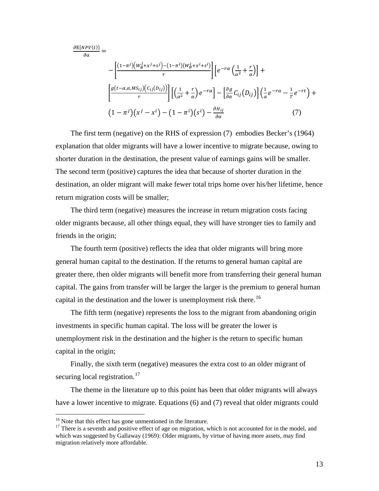$$
\frac{\partial E[NPV(t)]}{\partial \alpha} = \frac{\left[ (1-\pi^{j})(W_B^j + x^j + s^j) - (1-\pi^{i})(W_B^i + x^i + s^i) \right]}{r} \left[ e^{-r\alpha} \left( \frac{1}{\alpha^2} + \frac{r}{\alpha} \right) \right] + \frac{\left[ g(t-\alpha,\alpha,MS_{ij})(c_{ij}(D_{ij})) \right]}{r} \left[ \left( \frac{1}{\alpha^2} + \frac{r}{\alpha} \right) e^{-r\alpha} \right] - \left[ \frac{\partial g}{\partial \alpha} C_{ij}(D_{ij}) \right] \left( \frac{1}{\alpha} e^{-r\alpha} - \frac{1}{r} e^{-rt} \right) + \left( 1 - \pi^{j} \right) \left( x^j - x^i \right) - \left( 1 - \pi^{i} \right) \left( s^i \right) - \frac{\partial H_{ij}}{\partial \alpha} \tag{7}
$$

The first term (negative) on the RHS of expression (7) embodies Becker's (1964) explanation that older migrants will have a lower incentive to migrate because, owing to shorter duration in the destination, the present value of earnings gains will be smaller. The second term (positive) captures the idea that because of shorter duration in the destination, an older migrant will make fewer total trips home over his/her lifetime, hence return migration costs will be smaller;

The third term (negative) measures the increase in return migration costs facing older migrants because, all other things equal, they will have stronger ties to family and friends in the origin;

The fourth term (positive) reflects the idea that older migrants will bring more general human capital to the destination. If the returns to general human capital are greater there, then older migrants will benefit more from transferring their general human capital. The gains from transfer will be larger the larger is the premium to general human capital in the destination and the lower is unemployment risk there.<sup>[16](#page-11-2)</sup>

The fifth term (negative) represents the loss to the migrant from abandoning origin investments in specific human capital. The loss will be greater the lower is unemployment risk in the destination and the higher is the return to specific human capital in the origin;

Finally, the sixth term (negative) measures the extra cost to an older migrant of securing local registration.<sup>[17](#page-13-0)</sup>

The theme in the literature up to this point has been that older migrants will always have a lower incentive to migrate. Equations (6) and (7) reveal that older migrants could

<span id="page-13-1"></span><span id="page-13-0"></span><sup>&</sup>lt;sup>16</sup> Note that this effect has gone unmentioned in the literature.<br><sup>17</sup> There is a seventh and positive effect of age on migration, which is not accounted for in the model, and which was suggested by Gallaway (1969): Older migrants, by virtue of having more assets, may find migration relatively more affordable.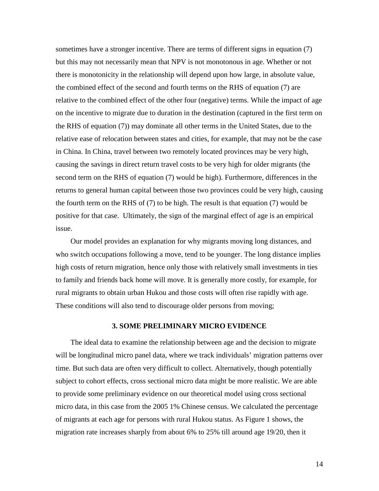sometimes have a stronger incentive. There are terms of different signs in equation (7) but this may not necessarily mean that NPV is not monotonous in age. Whether or not there is monotonicity in the relationship will depend upon how large, in absolute value, the combined effect of the second and fourth terms on the RHS of equation (7) are relative to the combined effect of the other four (negative) terms. While the impact of age on the incentive to migrate due to duration in the destination (captured in the first term on the RHS of equation (7)) may dominate all other terms in the United States, due to the relative ease of relocation between states and cities, for example, that may not be the case in China. In China, travel between two remotely located provinces may be very high, causing the savings in direct return travel costs to be very high for older migrants (the second term on the RHS of equation (7) would be high). Furthermore, differences in the returns to general human capital between those two provinces could be very high, causing the fourth term on the RHS of (7) to be high. The result is that equation (7) would be positive for that case. Ultimately, the sign of the marginal effect of age is an empirical issue.

Our model provides an explanation for why migrants moving long distances, and who switch occupations following a move, tend to be younger. The long distance implies high costs of return migration, hence only those with relatively small investments in ties to family and friends back home will move. It is generally more costly, for example, for rural migrants to obtain urban Hukou and those costs will often rise rapidly with age. These conditions will also tend to discourage older persons from moving;

#### **3. SOME PRELIMINARY MICRO EVIDENCE**

The ideal data to examine the relationship between age and the decision to migrate will be longitudinal micro panel data, where we track individuals' migration patterns over time. But such data are often very difficult to collect. Alternatively, though potentially subject to cohort effects, cross sectional micro data might be more realistic. We are able to provide some preliminary evidence on our theoretical model using cross sectional micro data, in this case from the 2005 1% Chinese census. We calculated the percentage of migrants at each age for persons with rural Hukou status. As Figure 1 shows, the migration rate increases sharply from about 6% to 25% till around age 19/20, then it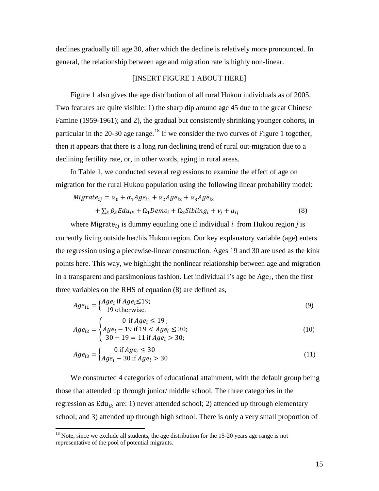declines gradually till age 30, after which the decline is relatively more pronounced. In general, the relationship between age and migration rate is highly non-linear.

#### [INSERT FIGURE 1 ABOUT HERE]

Figure 1 also gives the age distribution of all rural Hukou individuals as of 2005. Two features are quite visible: 1) the sharp dip around age 45 due to the great Chinese Famine (1959-1961); and 2), the gradual but consistently shrinking younger cohorts, in particular in the 20-30 age range.<sup>[18](#page-13-1)</sup> If we consider the two curves of Figure 1 together, then it appears that there is a long run declining trend of rural out-migration due to a declining fertility rate, or, in other words, aging in rural areas.

In Table 1, we conducted several regressions to examine the effect of age on migration for the rural Hukou population using the following linear probability model:

$$
Migrate_{ij} = \alpha_0 + \alpha_1 Age_{i1} + \alpha_2 Age_{i2} + \alpha_3 Age_{i3}
$$
  
+  $\sum_k \beta_k Edu_{ik} + \Omega_1 Demo_i + \Omega_2 Sibling_i + v_j + \mu_{ij}$  (8)

where Migrate<sub>ij</sub> is dummy equaling one if individual  $i$  from Hukou region  $j$  is currently living outside her/his Hukou region. Our key explanatory variable (age) enters the regression using a piecewise-linear construction. Ages 19 and 30 are used as the kink points here. This way, we highlight the nonlinear relationship between age and migration in a transparent and parsimonious fashion. Let individual i's age be  $Age_i$ , then the first three variables on the RHS of equation (8) are defined as,

$$
Age_{i1} = \begin{cases} Age_i \text{ if } Age_i \le 19; \\ 19 \text{ otherwise.} \end{cases} \tag{9}
$$

$$
Age_{i2} = \begin{cases} 0 & \text{if } Age_i \le 19; \\ Age_i - 19 & \text{if } 19 < Age_i \le 30; \\ 30 - 19 &= 11 \text{ if } Age_i > 30; \end{cases} \tag{10}
$$

$$
Age_{i3} = \begin{cases} 0 \text{ if } Age_i \le 30\\ Age_i - 30 \text{ if } Age_i > 30 \end{cases}
$$
 (11)

We constructed 4 categories of educational attainment, with the default group being those that attended up through junior/ middle school. The three categories in the regression as  $Edu_{ik}$  are: 1) never attended school; 2) attended up through elementary school; and 3) attended up through high school. There is only a very small proportion of

<span id="page-15-0"></span> $18$  Note, since we exclude all students, the age distribution for the 15-20 years age range is not representative of the pool of potential migrants.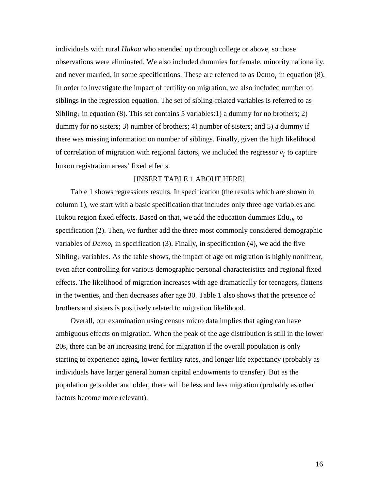individuals with rural *Hukou* who attended up through college or above, so those observations were eliminated. We also included dummies for female, minority nationality, and never married, in some specifications. These are referred to as  $Demo<sub>i</sub>$  in equation (8). In order to investigate the impact of fertility on migration, we also included number of siblings in the regression equation. The set of sibling-related variables is referred to as Sibling, in equation (8). This set contains 5 variables:1) a dummy for no brothers; 2) dummy for no sisters; 3) number of brothers; 4) number of sisters; and 5) a dummy if there was missing information on number of siblings. Finally, given the high likelihood of correlation of migration with regional factors, we included the regressor  $v_i$  to capture hukou registration areas' fixed effects.

#### [INSERT TABLE 1 ABOUT HERE]

Table 1 shows regressions results. In specification (the results which are shown in column 1), we start with a basic specification that includes only three age variables and Hukou region fixed effects. Based on that, we add the education dummies  $Edu_{ik}$  to specification (2). Then, we further add the three most commonly considered demographic variables of  $Demo_i$  in specification (3). Finally, in specification (4), we add the five Sibling, variables. As the table shows, the impact of age on migration is highly nonlinear, even after controlling for various demographic personal characteristics and regional fixed effects. The likelihood of migration increases with age dramatically for teenagers, flattens in the twenties, and then decreases after age 30. Table 1 also shows that the presence of brothers and sisters is positively related to migration likelihood.

Overall, our examination using census micro data implies that aging can have ambiguous effects on migration. When the peak of the age distribution is still in the lower 20s, there can be an increasing trend for migration if the overall population is only starting to experience aging, lower fertility rates, and longer life expectancy (probably as individuals have larger general human capital endowments to transfer). But as the population gets older and older, there will be less and less migration (probably as other factors become more relevant).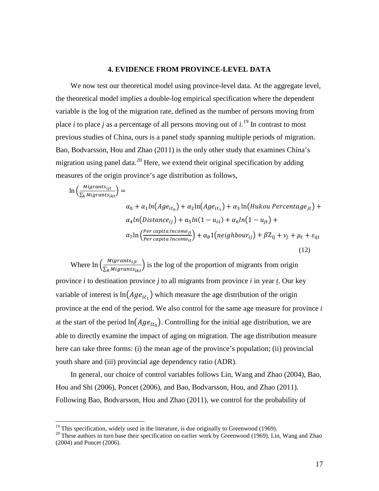#### **4. EVIDENCE FROM PROVINCE-LEVEL DATA**

We now test our theoretical model using province-level data. At the aggregate level, the theoretical model implies a double-log empirical specification where the dependent variable is the log of the migration rate, defined as the number of persons moving from place *i* to place *j* as a percentage of all persons moving out of *i*. [19](#page-15-0) In contrast to most previous studies of China, ours is a panel study spanning multiple periods of migration. Bao, Bodvarsson, Hou and Zhao (2011) is the only other study that examines China's migration using panel data.<sup>[20](#page-17-0)</sup> Here, we extend their original specification by adding measures of the origin province's age distribution as follows,

$$
\ln\left(\frac{Migrants_{ijt}}{\sum_{k}Migrants_{ikt}}\right) =
$$
\n
$$
\alpha_0 + \alpha_1 \ln(Age_{it_0}) + \alpha_2 \ln(Age_{it_1}) + \alpha_3 \ln(Hukou Percentage_{jt}) +
$$
\n
$$
\alpha_4 \ln(Distance_{ij}) + \alpha_5 \ln(1 - u_{it}) + \alpha_6 \ln(1 - u_{jt}) +
$$
\n
$$
\alpha_7 \ln\left(\frac{Per\ capita\ Income_{jt}}{Per\ capita\ Income_{it}}\right) + \alpha_8 \ln(n \text{e}(\text{t}) + \beta Z_{ij} + \nu_j + \mu_t + \varepsilon_{ijt})
$$
\n(12)

Where  $\ln \left( \frac{Migrants_{ijt}}{\sum_{k}Migrants_{ikt}} \right)$  is the log of the proportion of migrants from origin province *i* to destination province *j* to all migrants from province *i* in year *t*. Our key variable of interest is  $ln(Age_{it_1})$  which measure the age distribution of the origin province at the end of the period. We also control for the same age measure for province *i* at the start of the period  $\ln(Age_{it_0})$ . Controlling for the initial age distribution, we are able to directly examine the impact of aging on migration. The age distribution measure here can take three forms: (i) the mean age of the province's population; (ii) provincial youth share and (iii) provincial age dependency ratio (ADR).

In general, our choice of control variables follows Lin, Wang and Zhao (2004), Bao, Hou and Shi (2006), Poncet (2006), and Bao, Bodvarsson, Hou, and Zhao (2011). Following Bao, Bodvarsson, Hou and Zhao (2011), we control for the probability of

<span id="page-17-1"></span><span id="page-17-0"></span><sup>&</sup>lt;sup>19</sup> This specification, widely used in the literature, is due originally to Greenwood (1969). <sup>20</sup> These authors in turn base their specification on earlier work by Greenwood (1969), Lin, Wang and Zhao (2004) and Poncet (2006).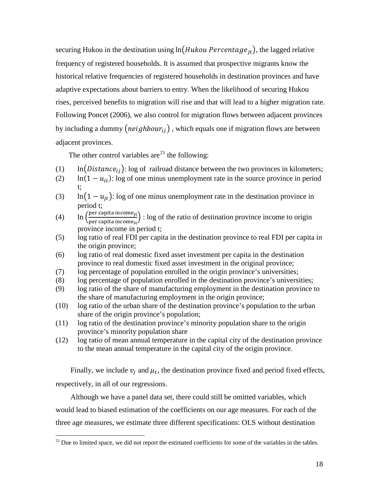securing Hukou in the destination using  $ln(Hukou Percentage_{it})$ , the lagged relative frequency of registered households. It is assumed that prospective migrants know the historical relative frequencies of registered households in destination provinces and have adaptive expectations about barriers to entry. When the likelihood of securing Hukou rises, perceived benefits to migration will rise and that will lead to a higher migration rate. Following Poncet (2006), we also control for migration flows between adjacent provinces by including a dummy  $(neighbour_{ij})$ , which equals one if migration flows are between adjacent provinces.

The other control variables are<sup>[21](#page-17-1)</sup> the following:

- (1)  $\ln(Distance_{ij})$ : log of railroad distance between the two provinces in kilometers;
- (2)  $\ln(1 u_{it})$ : log of one minus unemployment rate in the source province in period t;
- (3) ln $(1 u_{jt})$ : log of one minus unemployment rate in the destination province in period t;
- (4)  $\ln \left( \frac{\text{per capita income}_{\text{jt}}}{\text{ner canita income}_{\text{it}}} \right)$  $\frac{\text{per capat moment}}{\text{per capital income}}$ : log of the ratio of destination province income to origin province income in period t;
- (5) log ratio of real FDI per capita in the destination province to real FDI per capita in the origin province;
- (6) log ratio of real domestic fixed asset investment per capita in the destination province to real domestic fixed asset investment in the original province;
- (7) log percentage of population enrolled in the origin province's universities;
- (8) log percentage of population enrolled in the destination province's universities;
- (9) log ratio of the share of manufacturing employment in the destination province to the share of manufacturing employment in the origin province;
- <span id="page-18-0"></span>(10) log ratio of the urban share of the destination province's population to the urban share of the origin province's population;
- (11) log ratio of the destination province's minority population share to the origin province's minority population share
- (12) log ratio of mean annual temperature in the capital city of the destination province to the mean annual temperature in the capital city of the origin province.

Finally, we include  $v_j$  and  $\mu_t$ , the destination province fixed and period fixed effects, respectively, in all of our regressions.

Although we have a panel data set, there could still be omitted variables, which would lead to biased estimation of the coefficients on our age measures. For each of the three age measures, we estimate three different specifications: OLS without destination

<sup>&</sup>lt;sup>21</sup> Due to limited space, we did not report the estimated coefficients for some of the variables in the tables.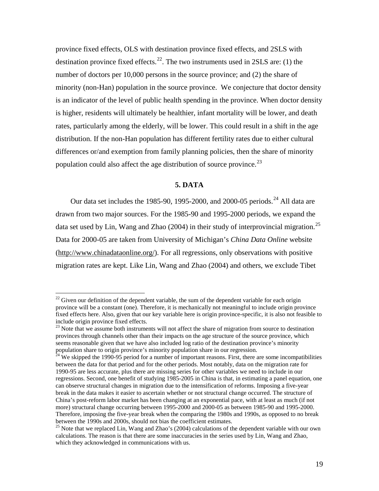province fixed effects, OLS with destination province fixed effects, and 2SLS with destination province fixed effects.<sup>22</sup>. The two instruments used in 2SLS are: (1) the number of doctors per 10,000 persons in the source province; and (2) the share of minority (non-Han) population in the source province. We conjecture that doctor density is an indicator of the level of public health spending in the province. When doctor density is higher, residents will ultimately be healthier, infant mortality will be lower, and death rates, particularly among the elderly, will be lower. This could result in a shift in the age distribution. If the non-Han population has different fertility rates due to either cultural differences or/and exemption from family planning policies, then the share of minority population could also affect the age distribution of source province.<sup>[23](#page-19-0)</sup>

#### **5. DATA**

Our data set includes the 1985-90, 1995-2000, and 2000-05 periods.<sup>[24](#page-19-1)</sup> All data are drawn from two major sources. For the 1985-90 and 1995-2000 periods, we expand the data set used by Lin, Wang and Zhao (2004) in their study of interprovincial migration.<sup>[25](#page-19-2)</sup> Data for 2000-05 are taken from University of Michigan's *China Data Online* website [\(http://www.chinadataonline.org/\)](http://www.chinadataonline.org/). For all regressions, only observations with positive migration rates are kept. Like Lin, Wang and Zhao (2004) and others, we exclude Tibet

 $^{22}$  Given our definition of the dependent variable, the sum of the dependent variable for each origin province will be a constant (one). Therefore, it is mechanically not meaningful to include origin province fixed effects here. Also, given that our key variable here is origin province-specific, it is also not feasible to include origin province fixed effects.<br><sup>23</sup> Note that we assume both instruments will not affect the share of migration from source to destination

<span id="page-19-0"></span>provinces through channels other than their impacts on the age structure of the source province, which seems reasonable given that we have also included log ratio of the destination province's minority population share to origin province's minority population share in our regression.<br><sup>24</sup> We skipped the 1990-95 period for a number of important reasons. First, there are some incompatibilities

<span id="page-19-3"></span><span id="page-19-1"></span>between the data for that period and for the other periods. Most notably, data on the migration rate for 1990-95 are less accurate, plus there are missing series for other variables we need to include in our regressions. Second, one benefit of studying 1985-2005 in China is that, in estimating a panel equation, one can observe structural changes in migration due to the intensification of reforms. Imposing a five-year break in the data makes it easier to ascertain whether or not structural change occurred. The structure of China's post-reform labor market has been changing at an exponential pace, with at least as much (if not more) structural change occurring between 1995-2000 and 2000-05 as between 1985-90 and 1995-2000. Therefore, imposing the five-year break when the comparing the 1980s and 1990s, as opposed to no break between the 1990s and 2000s, should not bias the coefficient estimates.

<span id="page-19-2"></span> $25$  Note that we replaced Lin, Wang and Zhao's (2004) calculations of the dependent variable with our own calculations. The reason is that there are some inaccuracies in the series used by Lin, Wang and Zhao, which they acknowledged in communications with us.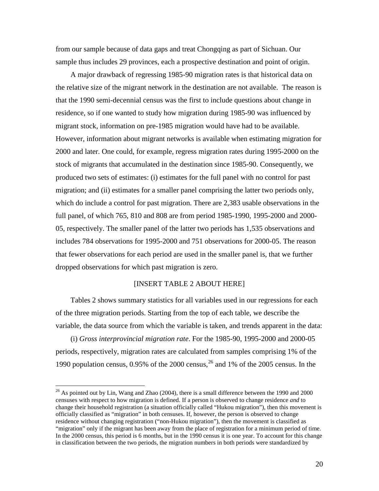from our sample because of data gaps and treat Chongqing as part of Sichuan. Our sample thus includes 29 provinces, each a prospective destination and point of origin.

A major drawback of regressing 1985-90 migration rates is that historical data on the relative size of the migrant network in the destination are not available. The reason is that the 1990 semi-decennial census was the first to include questions about change in residence, so if one wanted to study how migration during 1985-90 was influenced by migrant stock, information on pre-1985 migration would have had to be available. However, information about migrant networks is available when estimating migration for 2000 and later. One could, for example, regress migration rates during 1995-2000 on the stock of migrants that accumulated in the destination since 1985-90. Consequently, we produced two sets of estimates: (i) estimates for the full panel with no control for past migration; and (ii) estimates for a smaller panel comprising the latter two periods only, which do include a control for past migration. There are 2,383 usable observations in the full panel, of which 765, 810 and 808 are from period 1985-1990, 1995-2000 and 2000- 05, respectively. The smaller panel of the latter two periods has 1,535 observations and includes 784 observations for 1995-2000 and 751 observations for 2000-05. The reason that fewer observations for each period are used in the smaller panel is, that we further dropped observations for which past migration is zero.

#### [INSERT TABLE 2 ABOUT HERE]

Tables 2 shows summary statistics for all variables used in our regressions for each of the three migration periods. Starting from the top of each table, we describe the variable, the data source from which the variable is taken, and trends apparent in the data:

(i) *Gross interprovincial migration rate*. For the 1985-90, 1995-2000 and 2000-05 periods, respectively, migration rates are calculated from samples comprising 1% of the 1990 population census, 0.95% of the 2000 census, [26](#page-19-3) and 1% of the 2005 census. In the

<span id="page-20-0"></span> $^{26}$  As pointed out by Lin, Wang and Zhao (2004), there is a small difference between the 1990 and 2000 censuses with respect to how migration is defined. If a person is observed to change residence *and* to change their household registration (a situation officially called "Hukou migration"), then this movement is officially classified as "migration" in both censuses. If, however, the person is observed to change residence without changing registration ("non-Hukou migration"), then the movement is classified as "migration" only if the migrant has been away from the place of registration for a minimum period of time. In the 2000 census, this period is 6 months, but in the 1990 census it is one year. To account for this change in classification between the two periods, the migration numbers in both periods were standardized by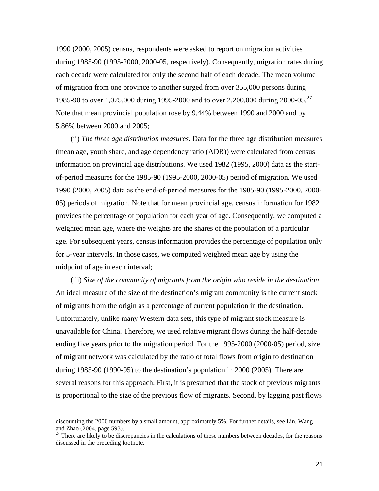1990 (2000, 2005) census, respondents were asked to report on migration activities during 1985-90 (1995-2000, 2000-05, respectively). Consequently, migration rates during each decade were calculated for only the second half of each decade. The mean volume of migration from one province to another surged from over 355,000 persons during 1985-90 to over 1,075,000 during 1995-2000 and to over 2,200,000 during 2000-05.<sup>[27](#page-20-0)</sup> Note that mean provincial population rose by 9.44% between 1990 and 2000 and by 5.86% between 2000 and 2005;

(ii) *The three age distribution measures*. Data for the three age distribution measures (mean age, youth share, and age dependency ratio (ADR)) were calculated from census information on provincial age distributions. We used 1982 (1995, 2000) data as the startof-period measures for the 1985-90 (1995-2000, 2000-05) period of migration. We used 1990 (2000, 2005) data as the end-of-period measures for the 1985-90 (1995-2000, 2000- 05) periods of migration. Note that for mean provincial age, census information for 1982 provides the percentage of population for each year of age. Consequently, we computed a weighted mean age, where the weights are the shares of the population of a particular age. For subsequent years, census information provides the percentage of population only for 5-year intervals. In those cases, we computed weighted mean age by using the midpoint of age in each interval;

(iii) *Size of the community of migrants from the origin who reside in the destination*. An ideal measure of the size of the destination's migrant community is the current stock of migrants from the origin as a percentage of current population in the destination. Unfortunately, unlike many Western data sets, this type of migrant stock measure is unavailable for China. Therefore, we used relative migrant flows during the half-decade ending five years prior to the migration period. For the 1995-2000 (2000-05) period, size of migrant network was calculated by the ratio of total flows from origin to destination during 1985-90 (1990-95) to the destination's population in 2000 (2005). There are several reasons for this approach. First, it is presumed that the stock of previous migrants is proportional to the size of the previous flow of migrants. Second, by lagging past flows

 $\overline{a}$ 

discounting the 2000 numbers by a small amount, approximately 5%. For further details, see Lin, Wang and Zhao (2004, page 593).

<span id="page-21-0"></span><sup>&</sup>lt;sup>27</sup> There are likely to be discrepancies in the calculations of these numbers between decades, for the reasons discussed in the preceding footnote.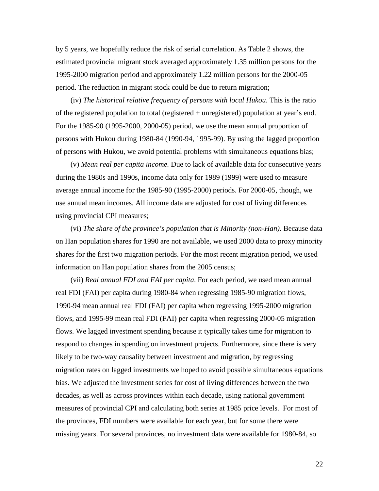by 5 years, we hopefully reduce the risk of serial correlation. As Table 2 shows, the estimated provincial migrant stock averaged approximately 1.35 million persons for the 1995-2000 migration period and approximately 1.22 million persons for the 2000-05 period. The reduction in migrant stock could be due to return migration;

(iv) *The historical relative frequency of persons with local Hukou*. This is the ratio of the registered population to total (registered + unregistered) population at year's end. For the 1985-90 (1995-2000, 2000-05) period, we use the mean annual proportion of persons with Hukou during 1980-84 (1990-94, 1995-99). By using the lagged proportion of persons with Hukou, we avoid potential problems with simultaneous equations bias;

(v) *Mean real per capita income.* Due to lack of available data for consecutive years during the 1980s and 1990s, income data only for 1989 (1999) were used to measure average annual income for the 1985-90 (1995-2000) periods. For 2000-05, though, we use annual mean incomes. All income data are adjusted for cost of living differences using provincial CPI measures;

(vi) *The share of the province's population that is Minority (non-Han)*. Because data on Han population shares for 1990 are not available, we used 2000 data to proxy minority shares for the first two migration periods. For the most recent migration period, we used information on Han population shares from the 2005 census;

(vii) *Real annual FDI and FAI per capita*. For each period, we used mean annual real FDI (FAI) per capita during 1980-84 when regressing 1985-90 migration flows, 1990-94 mean annual real FDI (FAI) per capita when regressing 1995-2000 migration flows, and 1995-99 mean real FDI (FAI) per capita when regressing 2000-05 migration flows. We lagged investment spending because it typically takes time for migration to respond to changes in spending on investment projects. Furthermore, since there is very likely to be two-way causality between investment and migration, by regressing migration rates on lagged investments we hoped to avoid possible simultaneous equations bias. We adjusted the investment series for cost of living differences between the two decades, as well as across provinces within each decade, using national government measures of provincial CPI and calculating both series at 1985 price levels. For most of the provinces, FDI numbers were available for each year, but for some there were missing years. For several provinces, no investment data were available for 1980-84, so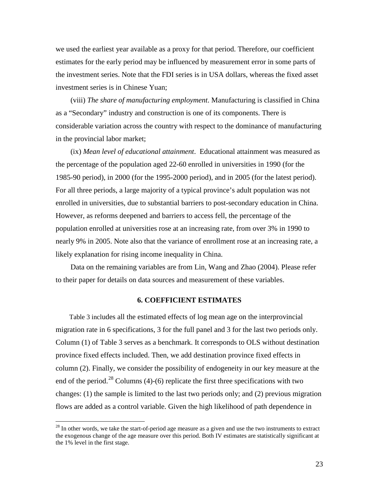we used the earliest year available as a proxy for that period. Therefore, our coefficient estimates for the early period may be influenced by measurement error in some parts of the investment series. Note that the FDI series is in USA dollars, whereas the fixed asset investment series is in Chinese Yuan;

(viii) *The share of manufacturing employment*. Manufacturing is classified in China as a "Secondary" industry and construction is one of its components. There is considerable variation across the country with respect to the dominance of manufacturing in the provincial labor market;

(ix) *Mean level of educational attainment*. Educational attainment was measured as the percentage of the population aged 22-60 enrolled in universities in 1990 (for the 1985-90 period), in 2000 (for the 1995-2000 period), and in 2005 (for the latest period). For all three periods, a large majority of a typical province's adult population was not enrolled in universities, due to substantial barriers to post-secondary education in China. However, as reforms deepened and barriers to access fell, the percentage of the population enrolled at universities rose at an increasing rate, from over 3% in 1990 to nearly 9% in 2005. Note also that the variance of enrollment rose at an increasing rate, a likely explanation for rising income inequality in China.

Data on the remaining variables are from Lin, Wang and Zhao (2004). Please refer to their paper for details on data sources and measurement of these variables.

#### **6. COEFFICIENT ESTIMATES**

Table 3 includes all the estimated effects of log mean age on the interprovincial migration rate in 6 specifications, 3 for the full panel and 3 for the last two periods only. Column (1) of Table 3 serves as a benchmark. It corresponds to OLS without destination province fixed effects included. Then, we add destination province fixed effects in column (2). Finally, we consider the possibility of endogeneity in our key measure at the end of the period.<sup>[28](#page-21-0)</sup> Columns (4)-(6) replicate the first three specifications with two changes: (1) the sample is limited to the last two periods only; and (2) previous migration flows are added as a control variable. Given the high likelihood of path dependence in

<span id="page-23-0"></span> $28$  In other words, we take the start-of-period age measure as a given and use the two instruments to extract the exogenous change of the age measure over this period. Both IV estimates are statistically significant at the 1% level in the first stage.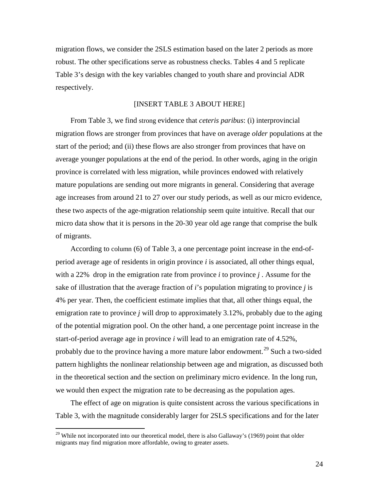migration flows, we consider the 2SLS estimation based on the later 2 periods as more robust. The other specifications serve as robustness checks. Tables 4 and 5 replicate Table 3's design with the key variables changed to youth share and provincial ADR respectively.

#### [INSERT TABLE 3 ABOUT HERE]

From Table 3, we find strong evidence that *ceteris paribus*: (i) interprovincial migration flows are stronger from provinces that have on average *older* populations at the start of the period; and (ii) these flows are also stronger from provinces that have on average younger populations at the end of the period. In other words, aging in the origin province is correlated with less migration, while provinces endowed with relatively mature populations are sending out more migrants in general. Considering that average age increases from around 21 to 27 over our study periods, as well as our micro evidence, these two aspects of the age-migration relationship seem quite intuitive. Recall that our micro data show that it is persons in the 20-30 year old age range that comprise the bulk of migrants.

According to column (6) of Table 3, a one percentage point increase in the end-ofperiod average age of residents in origin province *i* is associated, all other things equal, with a 22% drop in the emigration rate from province *i* to province *j* . Assume for the sake of illustration that the average fraction of *i*'s population migrating to province *j* is 4% per year. Then, the coefficient estimate implies that that, all other things equal, the emigration rate to province *j* will drop to approximately 3.12%, probably due to the aging of the potential migration pool. On the other hand, a one percentage point increase in the start-of-period average age in province *i* will lead to an emigration rate of 4.52%, probably due to the province having a more mature labor endowment.<sup>[29](#page-23-0)</sup> Such a two-sided pattern highlights the nonlinear relationship between age and migration, as discussed both in the theoretical section and the section on preliminary micro evidence. In the long run, we would then expect the migration rate to be decreasing as the population ages.

<span id="page-24-0"></span>The effect of age on migration is quite consistent across the various specifications in Table 3, with the magnitude considerably larger for 2SLS specifications and for the later

<sup>&</sup>lt;sup>29</sup> While not incorporated into our theoretical model, there is also Gallaway's (1969) point that older migrants may find migration more affordable, owing to greater assets.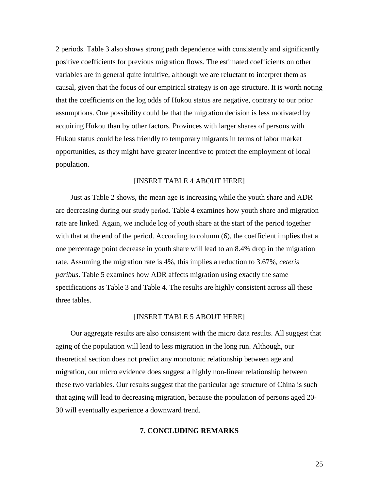2 periods. Table 3 also shows strong path dependence with consistently and significantly positive coefficients for previous migration flows. The estimated coefficients on other variables are in general quite intuitive, although we are reluctant to interpret them as causal, given that the focus of our empirical strategy is on age structure. It is worth noting that the coefficients on the log odds of Hukou status are negative, contrary to our prior assumptions. One possibility could be that the migration decision is less motivated by acquiring Hukou than by other factors. Provinces with larger shares of persons with Hukou status could be less friendly to temporary migrants in terms of labor market opportunities, as they might have greater incentive to protect the employment of local population.

#### [INSERT TABLE 4 ABOUT HERE]

Just as Table 2 shows, the mean age is increasing while the youth share and ADR are decreasing during our study period. Table 4 examines how youth share and migration rate are linked. Again, we include log of youth share at the start of the period together with that at the end of the period. According to column (6), the coefficient implies that a one percentage point decrease in youth share will lead to an 8.4% drop in the migration rate. Assuming the migration rate is 4%, this implies a reduction to 3.67%, *ceteris paribus*. Table 5 examines how ADR affects migration using exactly the same specifications as Table 3 and Table 4. The results are highly consistent across all these three tables.

#### [INSERT TABLE 5 ABOUT HERE]

Our aggregate results are also consistent with the micro data results. All suggest that aging of the population will lead to less migration in the long run. Although, our theoretical section does not predict any monotonic relationship between age and migration, our micro evidence does suggest a highly non-linear relationship between these two variables. Our results suggest that the particular age structure of China is such that aging will lead to decreasing migration, because the population of persons aged 20- 30 will eventually experience a downward trend.

#### **7. CONCLUDING REMARKS**

25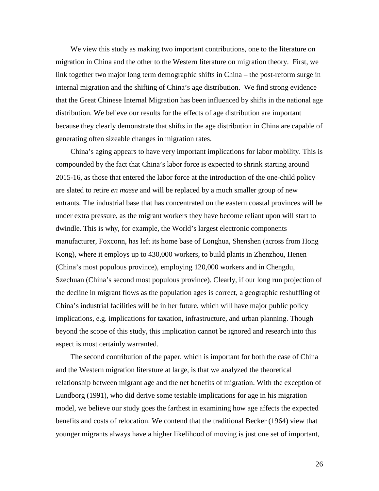We view this study as making two important contributions, one to the literature on migration in China and the other to the Western literature on migration theory. First, we link together two major long term demographic shifts in China – the post-reform surge in internal migration and the shifting of China's age distribution. We find strong evidence that the Great Chinese Internal Migration has been influenced by shifts in the national age distribution. We believe our results for the effects of age distribution are important because they clearly demonstrate that shifts in the age distribution in China are capable of generating often sizeable changes in migration rates.

China's aging appears to have very important implications for labor mobility. This is compounded by the fact that China's labor force is expected to shrink starting around 2015-16, as those that entered the labor force at the introduction of the one-child policy are slated to retire *en masse* and will be replaced by a much smaller group of new entrants*.* The industrial base that has concentrated on the eastern coastal provinces will be under extra pressure, as the migrant workers they have become reliant upon will start to dwindle. This is why, for example, the World's largest electronic components manufacturer, Foxconn, has left its home base of Longhua, Shenshen (across from Hong Kong), where it employs up to 430,000 workers, to build plants in Zhenzhou, Henen (China's most populous province), employing 120,000 workers and in Chengdu, Szechuan (China's second most populous province). Clearly, if our long run projection of the decline in migrant flows as the population ages is correct, a geographic reshuffling of China's industrial facilities will be in her future, which will have major public policy implications, e.g. implications for taxation, infrastructure, and urban planning. Though beyond the scope of this study, this implication cannot be ignored and research into this aspect is most certainly warranted.

The second contribution of the paper, which is important for both the case of China and the Western migration literature at large, is that we analyzed the theoretical relationship between migrant age and the net benefits of migration. With the exception of Lundborg (1991), who did derive some testable implications for age in his migration model, we believe our study goes the farthest in examining how age affects the expected benefits and costs of relocation. We contend that the traditional Becker (1964) view that younger migrants always have a higher likelihood of moving is just one set of important,

26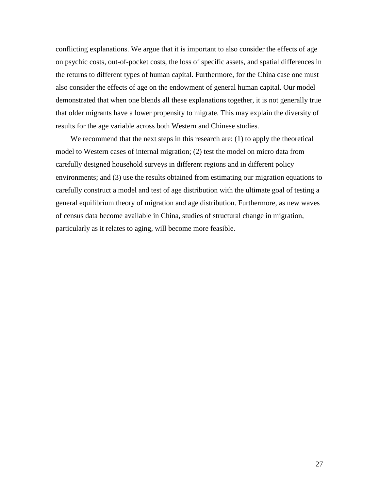conflicting explanations. We argue that it is important to also consider the effects of age on psychic costs, out-of-pocket costs, the loss of specific assets, and spatial differences in the returns to different types of human capital. Furthermore, for the China case one must also consider the effects of age on the endowment of general human capital. Our model demonstrated that when one blends all these explanations together, it is not generally true that older migrants have a lower propensity to migrate. This may explain the diversity of results for the age variable across both Western and Chinese studies.

We recommend that the next steps in this research are: (1) to apply the theoretical model to Western cases of internal migration; (2) test the model on micro data from carefully designed household surveys in different regions and in different policy environments; and (3) use the results obtained from estimating our migration equations to carefully construct a model and test of age distribution with the ultimate goal of testing a general equilibrium theory of migration and age distribution. Furthermore, as new waves of census data become available in China, studies of structural change in migration, particularly as it relates to aging, will become more feasible.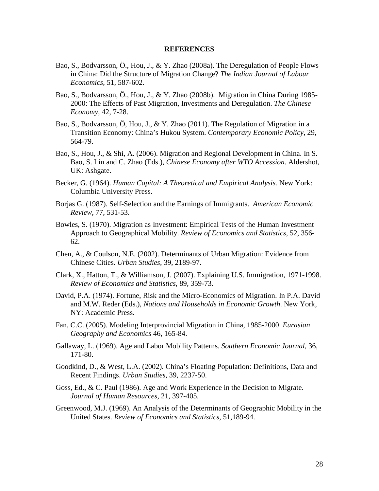#### **REFERENCES**

- Bao, S., Bodvarsson, Ö., Hou, J., & Y. Zhao (2008a). The Deregulation of People Flows in China: Did the Structure of Migration Change? *The Indian Journal of Labour Economics*, 51, 587-602.
- Bao, S., Bodvarsson, Ö., Hou, J., & Y. Zhao (2008b). Migration in China During 1985- 2000: The Effects of Past Migration, Investments and Deregulation. *The Chinese Economy,* 42, 7-28.
- Bao, S., Bodvarsson, Ö, Hou, J., & Y. Zhao (2011). The Regulation of Migration in a Transition Economy: China's Hukou System. *Contemporary Economic Policy*, 29, 564-79.
- Bao, S., Hou, J., & Shi, A. (2006). Migration and Regional Development in China. In S. Bao, S. Lin and C. Zhao (Eds.), *Chinese Economy after WTO Accession*. Aldershot, UK: Ashgate.
- Becker, G. (1964). *Human Capital: A Theoretical and Empirical Analysis.* New York: Columbia University Press.
- Borjas G. (1987). Self-Selection and the Earnings of Immigrants. *American Economic Review*, 77, 531-53.
- Bowles, S. (1970). Migration as Investment: Empirical Tests of the Human Investment Approach to Geographical Mobility. *Review of Economics and Statistics*, 52, 356- 62.
- Chen, A., & Coulson, N.E. (2002). Determinants of Urban Migration: Evidence from Chinese Cities. *Urban Studies*, 39, 2189-97.
- Clark, X., Hatton, T., & Williamson, J. (2007). Explaining U.S. Immigration, 1971-1998. *Review of Economics and Statistics*, 89, 359-73.
- David, P.A. (1974). Fortune, Risk and the Micro-Economics of Migration. In P.A. David and M.W. Reder (Eds.), *Nations and Households in Economic Growth*. New York, NY: Academic Press.
- Fan, C.C. (2005). Modeling Interprovincial Migration in China, 1985-2000. *Eurasian Geography and Economics* 46, 165-84.
- Gallaway, L. (1969). Age and Labor Mobility Patterns. *Southern Economic Journal*, 36, 171-80.
- Goodkind, D., & West, L.A. (2002). China's Floating Population: Definitions, Data and Recent Findings. *Urban Studies,* 39, 2237-50.
- Goss, Ed., & C. Paul (1986). Age and Work Experience in the Decision to Migrate. *Journal of Human Resources*, 21, 397-405.
- Greenwood, M.J. (1969). An Analysis of the Determinants of Geographic Mobility in the United States. *Review of Economics and Statistics,* 51,189-94.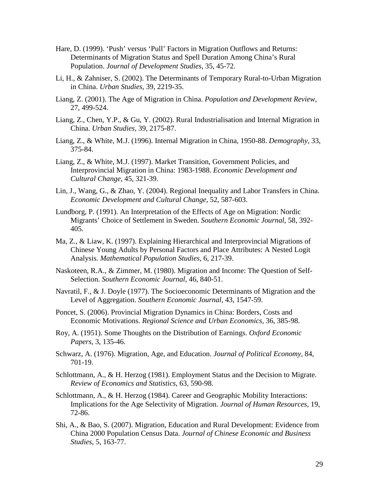- Hare, D. (1999). 'Push' versus 'Pull' Factors in Migration Outflows and Returns: Determinants of Migration Status and Spell Duration Among China's Rural Population. *Journal of Development Studies*, 35, 45-72.
- Li, H., & Zahniser, S. (2002). The Determinants of Temporary Rural-to-Urban Migration in China. *Urban Studies*, 39, 2219-35.
- Liang, Z. (2001). The Age of Migration in China. *Population and Development Review*, 27, 499-524.
- Liang, Z., Chen, Y.P., & Gu, Y. (2002). Rural Industrialisation and Internal Migration in China. *Urban Studies,* 39, 2175-87.
- Liang, Z., & White, M.J. (1996). Internal Migration in China, 1950-88. *Demography*, 33, 375-84.
- Liang, Z., & White, M.J. (1997). Market Transition, Government Policies, and Interprovincial Migration in China: 1983-1988. *Economic Development and Cultural Change*, 45, 321-39.
- Lin, J., Wang, G., & Zhao, Y. (2004). Regional Inequality and Labor Transfers in China. *Economic Development and Cultural Change*, 52, 587-603.
- Lundborg, P. (1991). An Interpretation of the Effects of Age on Migration: Nordic Migrants' Choice of Settlement in Sweden. *Southern Economic Journal*, 58, 392- 405.
- Ma, Z., & Liaw, K. (1997). Explaining Hierarchical and Interprovincial Migrations of Chinese Young Adults by Personal Factors and Place Attributes: A Nested Logit Analysis. *Mathematical Population Studies*, 6, 217-39.
- Naskoteen, R.A., & Zimmer, M. (1980). Migration and Income: The Question of Self-Selection. *Southern Economic Journal*, 46, 840-51.
- Navratil, F., & J. Doyle (1977). The Socioeconomic Determinants of Migration and the Level of Aggregation. *Southern Economic Journal*, 43, 1547-59.
- Poncet, S. (2006). Provincial Migration Dynamics in China: Borders, Costs and Economic Motivations. *Regional Science and Urban Economics*, 36, 385-98.
- Roy, A. (1951). Some Thoughts on the Distribution of Earnings. *Oxford Economic Papers*, 3, 135-46.
- Schwarz, A. (1976). Migration, Age, and Education. *Journal of Political Economy*, 84, 701-19.
- Schlottmann, A., & H. Herzog (1981). Employment Status and the Decision to Migrate. *Review of Economics and Statistics*, 63, 590-98.
- Schlottmann, A., & H. Herzog (1984). Career and Geographic Mobility Interactions: Implications for the Age Selectivity of Migration. *Journal of Human Resources*, 19, 72-86.
- Shi, A., & Bao, S. (2007). Migration, Education and Rural Development: Evidence from China 2000 Population Census Data. *Journal of Chinese Economic and Business Studies*, 5, 163-77.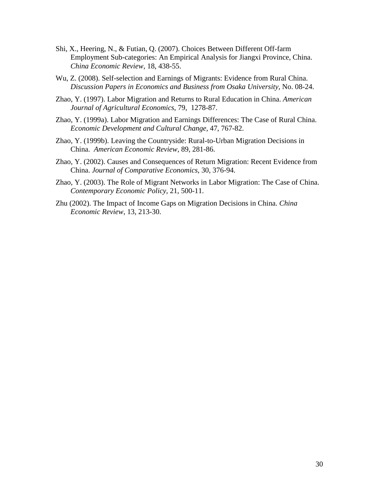- Shi, X., Heering, N., & Futian, Q. (2007). Choices Between Different Off-farm Employment Sub-categories: An Empirical Analysis for Jiangxi Province, China. *China Economic Review*, 18, 438-55.
- Wu, Z. (2008). Self-selection and Earnings of Migrants: Evidence from Rural China. *Discussion Papers in Economics and Business from Osaka University,* No. 08-24.
- Zhao, Y. (1997). Labor Migration and Returns to Rural Education in China. *American Journal of Agricultural Economics*, 79, 1278-87.
- Zhao, Y. (1999a). Labor Migration and Earnings Differences: The Case of Rural China. *Economic Development and Cultural Change*, 47, 767-82.
- Zhao, Y. (1999b). Leaving the Countryside: Rural-to-Urban Migration Decisions in China. *American Economic Review,* 89, 281-86.
- Zhao, Y. (2002). Causes and Consequences of Return Migration: Recent Evidence from China. *Journal of Comparative Economics*, 30, 376-94.
- Zhao, Y. (2003). The Role of Migrant Networks in Labor Migration: The Case of China. *Contemporary Economic Policy*, 21, 500-11.
- Zhu (2002). The Impact of Income Gaps on Migration Decisions in China. *China Economic Review*, 13, 213-30.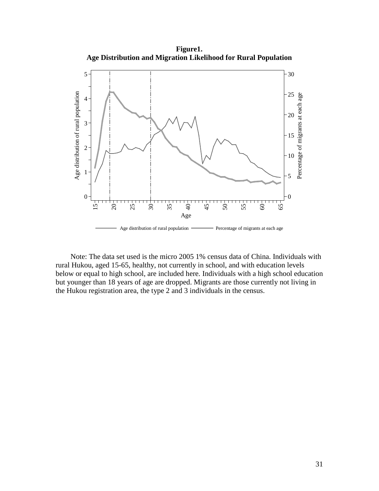**Figure1. Age Distribution and Migration Likelihood for Rural Population**



Note: The data set used is the micro 2005 1% census data of China. Individuals with rural Hukou, aged 15-65, healthy, not currently in school, and with education levels below or equal to high school, are included here. Individuals with a high school education but younger than 18 years of age are dropped. Migrants are those currently not living in the Hukou registration area, the type 2 and 3 individuals in the census.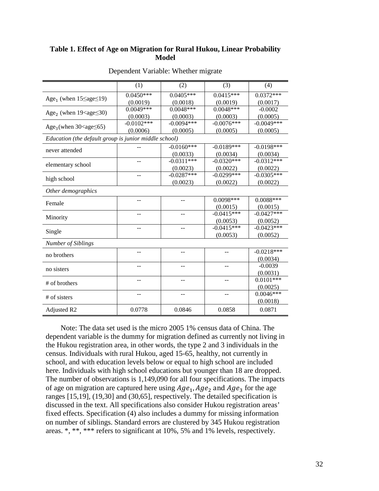#### **Table 1. Effect of Age on Migration for Rural Hukou, Linear Probability Model**

|                                                       | (1)          | (2)          | (3)          | (4)          |  |  |  |  |
|-------------------------------------------------------|--------------|--------------|--------------|--------------|--|--|--|--|
| Age <sub>1</sub> (when $15 \leq age \leq 19$ )        | $0.0450***$  | $0.0405***$  | $0.0415***$  | $0.0372***$  |  |  |  |  |
|                                                       | (0.0019)     | (0.0018)     | (0.0019)     | (0.0017)     |  |  |  |  |
| Age <sub>2</sub> (when $19 <$ age $\leq$ 30)          | $0.0049***$  | $0.0048***$  | $0.0048***$  | $-0.0002$    |  |  |  |  |
|                                                       | (0.0003)     | (0.0003)     | (0.0003)     | (0.0005)     |  |  |  |  |
| Age <sub>3</sub> (when $30 <$ age $\leq 65$ )         | $-0.0102***$ | $-0.0094***$ | $-0.0076***$ | $-0.0049***$ |  |  |  |  |
|                                                       | (0.0006)     | (0.0005)     | (0.0005)     | (0.0005)     |  |  |  |  |
| Education (the default group is junior middle school) |              |              |              |              |  |  |  |  |
|                                                       |              | $-0.0160***$ | $-0.0189***$ | $-0.0198***$ |  |  |  |  |
| never attended                                        |              | (0.0033)     | (0.0034)     | (0.0034)     |  |  |  |  |
| elementary school                                     |              | $-0.0311***$ | $-0.0320***$ | $-0.0312***$ |  |  |  |  |
|                                                       |              | (0.0023)     | (0.0022)     | (0.0022)     |  |  |  |  |
| high school                                           | --           | $-0.0287***$ | $-0.0299***$ | $-0.0305***$ |  |  |  |  |
|                                                       |              | (0.0023)     | (0.0022)     | (0.0022)     |  |  |  |  |
| Other demographics                                    |              |              |              |              |  |  |  |  |
|                                                       | $-$          |              | $0.0098***$  | $0.0088***$  |  |  |  |  |
| Female                                                |              |              | (0.0015)     | (0.0015)     |  |  |  |  |
|                                                       |              |              | $-0.0415***$ | $-0.0427***$ |  |  |  |  |
| Minority                                              |              |              | (0.0053)     | (0.0052)     |  |  |  |  |
| Single                                                |              |              | $-0.0415***$ | $-0.0423***$ |  |  |  |  |
|                                                       |              |              | (0.0053)     | (0.0052)     |  |  |  |  |
| Number of Siblings                                    |              |              |              |              |  |  |  |  |
|                                                       | --           | --           |              | $-0.0218***$ |  |  |  |  |
| no brothers                                           |              |              |              | (0.0034)     |  |  |  |  |
| no sisters                                            |              |              |              | $-0.0039$    |  |  |  |  |
|                                                       |              |              |              | (0.0031)     |  |  |  |  |
| $#$ of brothers                                       | $-$          |              | --           | $0.0101***$  |  |  |  |  |
|                                                       |              |              |              | (0.0025)     |  |  |  |  |
|                                                       | $-$          | $-$          | $-$          | $0.0046***$  |  |  |  |  |
| # of sisters                                          |              |              |              | (0.0018)     |  |  |  |  |
| Adjusted R2                                           | 0.0778       | 0.0846       | 0.0858       | 0.0871       |  |  |  |  |

#### Dependent Variable: Whether migrate

Note: The data set used is the micro 2005 1% census data of China. The dependent variable is the dummy for migration defined as currently not living in the Hukou registration area, in other words, the type 2 and 3 individuals in the census. Individuals with rural Hukou, aged 15-65, healthy, not currently in school, and with education levels below or equal to high school are included here. Individuals with high school educations but younger than 18 are dropped. The number of observations is 1,149,090 for all four specifications. The impacts of age on migration are captured here using  $Age_1, Age_2$  and  $Age_3$  for the age ranges [15,19], (19,30] and (30,65], respectively. The detailed specification is discussed in the text. All specifications also consider Hukou registration areas' fixed effects. Specification (4) also includes a dummy for missing information on number of siblings. Standard errors are clustered by 345 Hukou registration areas. \*, \*\*, \*\*\* refers to significant at 10%, 5% and 1% levels, respectively.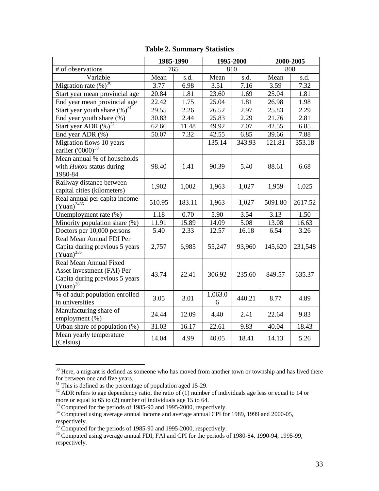|                                                                                                         | 1985-1990 |        | 1995-2000    |        | 2000-2005 |         |
|---------------------------------------------------------------------------------------------------------|-----------|--------|--------------|--------|-----------|---------|
| # of observations                                                                                       | 765       |        | 810          |        | 808       |         |
| Variable                                                                                                | Mean      | s.d.   | Mean         | s.d.   | Mean      | s.d.    |
| Migration rate $(\%)$ <sup>30</sup>                                                                     | 3.77      | 6.98   | 3.51         | 7.16   | 3.59      | 7.32    |
| Start year mean provincial age                                                                          | 20.84     | 1.81   | 23.60        | 1.69   | 25.04     | 1.81    |
| End year mean provincial age                                                                            | 22.42     | 1.75   | 25.04        | 1.81   | 26.98     | 1.98    |
| Start year youth share $(\%)$ <sup>31</sup>                                                             | 29.55     | 2.26   | 26.52        | 2.97   | 25.83     | 2.29    |
| End year youth share $(\%)$                                                                             | 30.83     | 2.44   | 25.83        | 2.29   | 21.76     | 2.81    |
| Start year ADR $(\%)$ <sup>32</sup>                                                                     | 62.66     | 11.48  | 49.92        | 7.07   | 42.55     | 6.85    |
| End year ADR (%)                                                                                        | 50.07     | 7.32   | 42.55        | 6.85   | 39.66     | 7.88    |
| Migration flows 10 years<br>earlier ('0000) <sup>33</sup>                                               |           |        | 135.14       | 343.93 | 121.81    | 353.18  |
| Mean annual % of households<br>with <i>Hukou</i> status during<br>1980-84                               | 98.40     | 1.41   | 90.39        | 5.40   | 88.61     | 6.68    |
| Railway distance between<br>capital cities (kilometers)                                                 | 1,902     | 1,002  | 1,963        | 1,027  | 1,959     | 1,025   |
| Real annual per capita income<br>$(Yuan)^{3435}$                                                        | 510.95    | 183.11 | 1,963        | 1,027  | 5091.80   | 2617.52 |
| Unemployment rate (%)                                                                                   | 1.18      | 0.70   | 5.90         | 3.54   | 3.13      | 1.50    |
| Minority population share (%)                                                                           | 11.91     | 15.89  | 14.09        | 5.08   | 13.08     | 16.63   |
| Doctors per 10,000 persons                                                                              | 5.40      | 2.33   | 12.57        | 16.18  | 6.54      | 3.26    |
| Real Mean Annual FDI Per<br>Capita during previous 5 years<br>$(Yuan)^{335}$                            | 2,757     | 6,985  | 55,247       | 93,960 | 145,620   | 231,548 |
| Real Mean Annual Fixed<br>Asset Investment (FAI) Per<br>Capita during previous 5 years<br>$(Yuan)^{36}$ | 43.74     | 22.41  | 306.92       | 235.60 | 849.57    | 635.37  |
| % of adult population enrolled<br>in universities                                                       | 3.05      | 3.01   | 1,063.0<br>6 | 440.21 | 8.77      | 4.89    |
| Manufacturing share of<br>employment (%)                                                                | 24.44     | 12.09  | 4.40         | 2.41   | 22.64     | 9.83    |
| Urban share of population (%)                                                                           | 31.03     | 16.17  | 22.61        | 9.83   | 40.04     | 18.43   |
| Mean yearly temperature<br>(Celsius)                                                                    | 14.04     | 4.99   | 40.05        | 18.41  | 14.13     | 5.26    |

### **Table 2. Summary Statistics**

 $30$  Here, a migrant is defined as someone who has moved from another town or township and has lived there for between one and five years.<br> $31$  This is defined as the percentage of population aged 15-29.

<span id="page-33-1"></span><span id="page-33-0"></span><sup>&</sup>lt;sup>31</sup> This is defined as the percentage of population aged 15-29.<br><sup>32</sup> ADR refers to age dependency ratio, the ratio of (1) number of individuals age less or equal to 14 or more or equal to 65 to (2) number of individuals age 15 to 64.

<span id="page-33-3"></span>

<span id="page-33-2"></span> $\frac{33}{34}$  Computed for the periods of 1985-90 and 1995-2000, respectively.<br><sup>34</sup> Computed using average annual income and average annual CPI for 1989, 1999 and 2000-05, respectively.

<span id="page-33-5"></span><span id="page-33-4"></span><sup>&</sup>lt;sup>35</sup> Computed for the periods of 1985-90 and 1995-2000, respectively.<br><sup>36</sup> Computed using average annual FDI, FAI and CPI for the periods of 1980-84, 1990-94, 1995-99, respectively.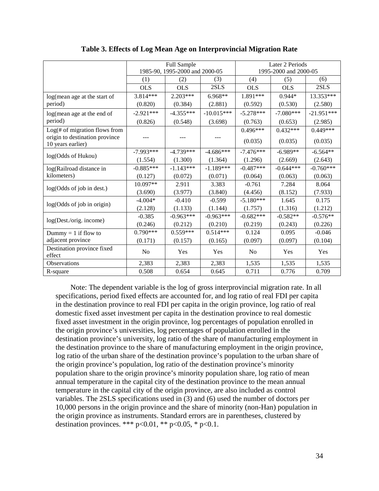|                                                     |                                | Full Sample |              | Later 2 Periods       |             |              |  |
|-----------------------------------------------------|--------------------------------|-------------|--------------|-----------------------|-------------|--------------|--|
|                                                     | 1985-90, 1995-2000 and 2000-05 |             |              | 1995-2000 and 2000-05 |             |              |  |
|                                                     | (1)                            | (2)         | (3)          | (4)                   | (5)         | (6)          |  |
|                                                     | <b>OLS</b>                     | <b>OLS</b>  | 2SLS         | <b>OLS</b>            | <b>OLS</b>  | 2SLS         |  |
| log(mean age at the start of                        | 3.814***                       | 2.203***    | 6.968**      | 1.891***              | $0.944*$    | 13.353***    |  |
| period)                                             | (0.820)                        | (0.384)     | (2.881)      | (0.592)               | (0.530)     | (2.580)      |  |
| log(mean age at the end of                          | $-2.921***$                    | $-4.355***$ | $-10.015***$ | $-5.278***$           | $-7.080***$ | $-21.951***$ |  |
| period)                                             | (0.826)                        | (0.548)     | (3.698)      | (0.763)               | (0.653)     | (2.985)      |  |
| $Log(\# of migration flows from$                    |                                |             |              | $0.496***$            | $0.432***$  | $0.449***$   |  |
| origin to destination province<br>10 years earlier) |                                |             |              | (0.035)               | (0.035)     | (0.035)      |  |
|                                                     | $-7.993***$                    | $-4.739***$ | $-4.686***$  | $-7.476***$           | $-6.989**$  | $-6.564**$   |  |
| log(Odds of Hukou)                                  | (1.554)                        | (1.300)     | (1.364)      | (1.296)               | (2.669)     | (2.643)      |  |
| log(Railroad distance in                            | $-0.885***$                    | $-1.143***$ | $-1.189***$  | $-0.487***$           | $-0.644***$ | $-0.760***$  |  |
| kilometers)                                         | (0.127)                        | (0.072)     | (0.071)      | (0.064)               | (0.063)     | (0.063)      |  |
| log(Odds of job in dest.)                           | 10.097**                       | 2.911       | 3.383        | $-0.761$              | 7.284       | 8.064        |  |
|                                                     | (3.690)                        | (3.977)     | (3.840)      | (4.456)               | (8.152)     | (7.933)      |  |
| log(Odds of job in origin)                          | $-4.004*$                      | $-0.410$    | $-0.599$     | $-5.180***$           | 1.645       | 0.175        |  |
|                                                     | (2.128)                        | (1.133)     | (1.144)      | (1.757)               | (1.316)     | (1.212)      |  |
| log(Dest./orig. income)                             | $-0.385$                       | $-0.963***$ | $-0.963***$  | $-0.682***$           | $-0.582**$  | $-0.576**$   |  |
|                                                     | (0.246)                        | (0.212)     | (0.210)      | (0.219)               | (0.243)     | (0.226)      |  |
| Dummy = $1$ if flow to                              | $0.790***$                     | $0.559***$  | $0.514***$   | 0.124                 | 0.095       | $-0.046$     |  |
| adjacent province                                   | (0.171)                        | (0.157)     | (0.165)      | (0.097)               | (0.097)     | (0.104)      |  |
| Destination province fixed<br>effect                | N <sub>0</sub>                 | Yes         | Yes          | N <sub>o</sub>        | Yes         | Yes          |  |
| Observations                                        | 2,383                          | 2,383       | 2,383        | 1,535                 | 1,535       | 1,535        |  |
| R-square                                            | 0.508                          | 0.654       | 0.645        | 0.711                 | 0.776       | 0.709        |  |

**Table 3. Effects of Log Mean Age on Interprovincial Migration Rate**

Note: The dependent variable is the log of gross interprovincial migration rate. In all specifications, period fixed effects are accounted for, and log ratio of real FDI per capita in the destination province to real FDI per capita in the origin province, log ratio of real domestic fixed asset investment per capita in the destination province to real domestic fixed asset investment in the origin province, log percentages of population enrolled in the origin province's universities, log percentages of population enrolled in the destination province's university, log ratio of the share of manufacturing employment in the destination province to the share of manufacturing employment in the origin province, log ratio of the urban share of the destination province's population to the urban share of the origin province's population, log ratio of the destination province's minority population share to the origin province's minority population share, log ratio of mean annual temperature in the capital city of the destination province to the mean annual temperature in the capital city of the origin province, are also included as control variables. The 2SLS specifications used in (3) and (6) used the number of doctors per 10,000 persons in the origin province and the share of minority (non-Han) population in the origin province as instruments. Standard errors are in parentheses, clustered by destination provinces. \*\*\*  $p<0.01$ , \*\*  $p<0.05$ , \*  $p<0.1$ .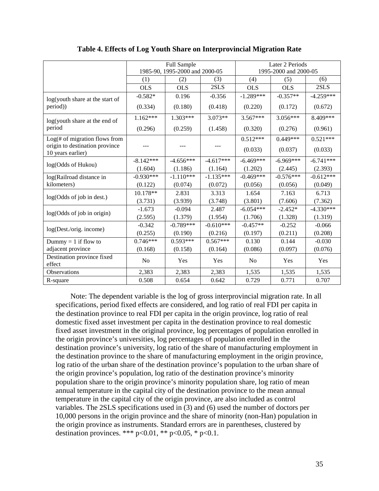|                                                     |                                | Full Sample |             | Later 2 Periods       |             |             |  |
|-----------------------------------------------------|--------------------------------|-------------|-------------|-----------------------|-------------|-------------|--|
|                                                     | 1985-90, 1995-2000 and 2000-05 |             |             | 1995-2000 and 2000-05 |             |             |  |
|                                                     | (1)                            | (2)         | (3)         | (4)                   | (5)         | (6)         |  |
|                                                     | <b>OLS</b>                     | <b>OLS</b>  | 2SLS        | <b>OLS</b>            | <b>OLS</b>  | 2SLS        |  |
| log(youth share at the start of                     | $-0.582*$                      | 0.196       | $-0.356$    | $-1.289***$           | $-0.357**$  | $-4.259***$ |  |
| period))                                            | (0.334)                        | (0.180)     | (0.418)     | (0.220)               | (0.172)     | (0.672)     |  |
| log(youth share at the end of                       | $1.162***$                     | 1.303***    | 3.073**     | 3.567***              | 3.056***    | 8.409***    |  |
| period                                              | (0.296)                        | (0.259)     | (1.458)     | (0.320)               | (0.276)     | (0.961)     |  |
| $Log(\# of migration flows from$                    |                                |             |             | $0.512***$            | $0.449***$  | $0.521***$  |  |
| origin to destination province<br>10 years earlier) |                                |             |             | (0.033)               | (0.037)     | (0.033)     |  |
| log(Odds of Hukou)                                  | $-8.142***$                    | $-4.656***$ | $-4.617***$ | $-6.469***$           | $-6.969***$ | $-6.741***$ |  |
|                                                     | (1.604)                        | (1.186)     | (1.164)     | (1.202)               | (2.445)     | (2.393)     |  |
| log(Railroad distance in                            | $-0.930***$                    | $-1.110***$ | $-1.135***$ | $-0.469***$           | $-0.576***$ | $-0.612***$ |  |
| kilometers)                                         | (0.122)                        | (0.074)     | (0.072)     | (0.056)               | (0.056)     | (0.049)     |  |
| log(Odds of job in dest.)                           | 10.178**                       | 2.831       | 3.313       | 1.654                 | 7.163       | 6.713       |  |
|                                                     | (3.731)                        | (3.939)     | (3.748)     | (3.801)               | (7.606)     | (7.362)     |  |
| log(Odds of job in origin)                          | $-1.673$                       | $-0.094$    | 2.487       | $-6.054***$           | $-2.452*$   | $-4.330***$ |  |
|                                                     | (2.595)                        | (1.379)     | (1.954)     | (1.706)               | (1.328)     | (1.319)     |  |
| log(Dest./orig. income)                             | $-0.342$                       | $-0.789***$ | $-0.610***$ | $-0.457**$            | $-0.252$    | $-0.066$    |  |
|                                                     | (0.255)                        | (0.190)     | (0.216)     | (0.197)               | (0.211)     | (0.208)     |  |
| Dummy = $1$ if flow to                              | $0.746***$                     | $0.593***$  | $0.567***$  | 0.130                 | 0.144       | $-0.030$    |  |
| adjacent province                                   | (0.168)                        | (0.158)     | (0.164)     | (0.086)               | (0.097)     | (0.076)     |  |
| Destination province fixed<br>effect                | N <sub>0</sub>                 | Yes         | Yes         | No                    | Yes         | Yes         |  |
| Observations                                        | 2,383                          | 2,383       | 2,383       | 1,535                 | 1,535       | 1,535       |  |
| R-square                                            | 0.508                          | 0.654       | 0.642       | 0.729                 | 0.771       | 0.707       |  |

#### **Table 4. Effects of Log Youth Share on Interprovincial Migration Rate**

Note: The dependent variable is the log of gross interprovincial migration rate. In all specifications, period fixed effects are considered, and log ratio of real FDI per capita in the destination province to real FDI per capita in the origin province, log ratio of real domestic fixed asset investment per capita in the destination province to real domestic fixed asset investment in the original province, log percentages of population enrolled in the origin province's universities, log percentages of population enrolled in the destination province's university, log ratio of the share of manufacturing employment in the destination province to the share of manufacturing employment in the origin province, log ratio of the urban share of the destination province's population to the urban share of the origin province's population, log ratio of the destination province's minority population share to the origin province's minority population share, log ratio of mean annual temperature in the capital city of the destination province to the mean annual temperature in the capital city of the origin province, are also included as control variables. The 2SLS specifications used in (3) and (6) used the number of doctors per 10,000 persons in the origin province and the share of minority (non-Han) population in the origin province as instruments. Standard errors are in parentheses, clustered by destination provinces. \*\*\*  $p<0.01$ , \*\*  $p<0.05$ , \*  $p<0.1$ .